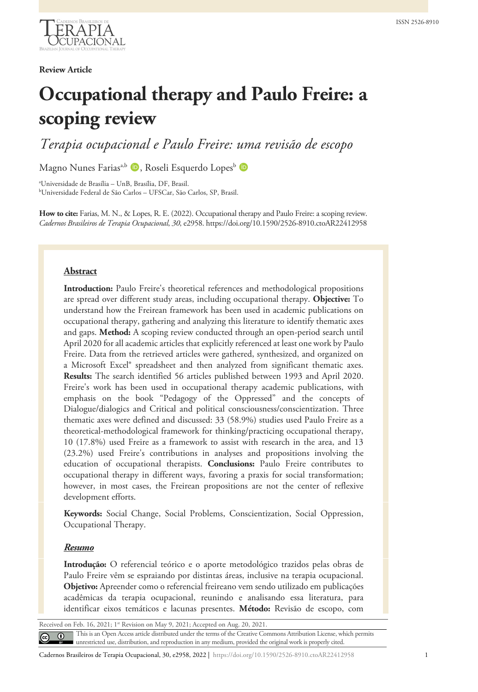

## **Review Article**

# **Occupational therapy and Paulo Freire: a scoping review**

*Terapia ocupacional e Paulo Freire: uma revisão de escopo*

Magno Nunes Farias<sup>a,b</sup> **D**, Roseli Esquerdo Lopes<sup>b</sup> D

a Universidade de Brasília – UnB, Brasília, DF, Brasil. b Universidade Federal de São Carlos – UFSCar, São Carlos, SP, Brasil.

**How to cite:** Farias, M. N., & Lopes, R. E. (2022). Occupational therapy and Paulo Freire: a scoping review. *Cadernos Brasileiros de Terapia Ocupacional*, *30*, e2958. https://doi.org/10.1590/2526-8910.ctoAR22412958

### **Abstract**

**Introduction:** Paulo Freire's theoretical references and methodological propositions are spread over different study areas, including occupational therapy. **Objective:** To understand how the Freirean framework has been used in academic publications on occupational therapy, gathering and analyzing this literature to identify thematic axes and gaps. **Method:** A scoping review conducted through an open-period search until April 2020 for all academic articles that explicitly referenced at least one work by Paulo Freire. Data from the retrieved articles were gathered, synthesized, and organized on a Microsoft Excel® spreadsheet and then analyzed from significant thematic axes. **Results:** The search identified 56 articles published between 1993 and April 2020. Freire's work has been used in occupational therapy academic publications, with emphasis on the book "Pedagogy of the Oppressed" and the concepts of Dialogue/dialogics and Critical and political consciousness/conscientization. Three thematic axes were defined and discussed: 33 (58.9%) studies used Paulo Freire as a theoretical-methodological framework for thinking/practicing occupational therapy, 10 (17.8%) used Freire as a framework to assist with research in the area, and 13 (23.2%) used Freire's contributions in analyses and propositions involving the education of occupational therapists. **Conclusions:** Paulo Freire contributes to occupational therapy in different ways, favoring a praxis for social transformation; however, in most cases, the Freirean propositions are not the center of reflexive development efforts.

**Keywords:** Social Change, Social Problems, Conscientization, Social Oppression, Occupational Therapy.

#### *Resumo*

**Introdução:** O referencial teórico e o aporte metodológico trazidos pelas obras de Paulo Freire vêm se espraiando por distintas áreas, inclusive na terapia ocupacional. **Objetivo:** Apreender como o referencial freireano vem sendo utilizado em publicações acadêmicas da terapia ocupacional, reunindo e analisando essa literatura, para identificar eixos temáticos e lacunas presentes. **Método:** Revisão de escopo, com

Received on Feb. 16, 2021; 1<sup>st</sup> Revision on May 9, 2021; Accepted on Aug. 20, 2021.

This is an Open Access article distributed under the terms of the Creative Commons Attribution License, which permits unrestricted use, distribution, and reproduction in any medium, provided the original work is properly cited.

Cadernos Brasileiros de Terapia Ocupacional, 30, e2958, 2022 | https://doi.org/10.1590/2526-8910.ctoAR22412958 1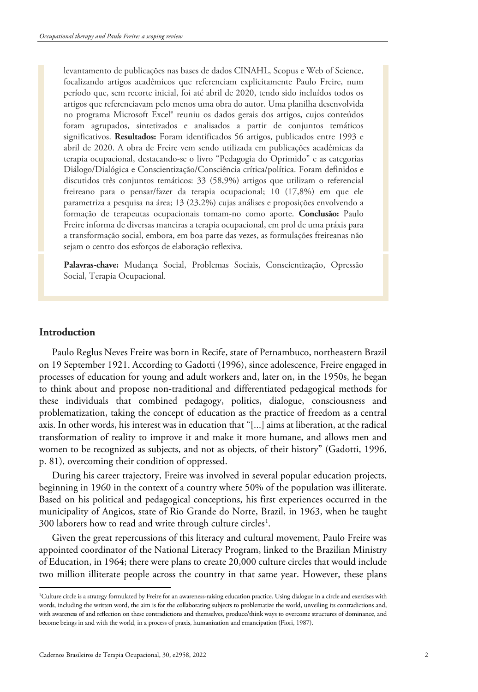levantamento de publicações nas bases de dados CINAHL, Scopus e Web of Science, focalizando artigos acadêmicos que referenciam explicitamente Paulo Freire, num período que, sem recorte inicial, foi até abril de 2020, tendo sido incluídos todos os artigos que referenciavam pelo menos uma obra do autor. Uma planilha desenvolvida no programa Microsoft Excel® reuniu os dados gerais dos artigos, cujos conteúdos foram agrupados, sintetizados e analisados a partir de conjuntos temáticos significativos. **Resultados:** Foram identificados 56 artigos, publicados entre 1993 e abril de 2020. A obra de Freire vem sendo utilizada em publicações acadêmicas da terapia ocupacional, destacando-se o livro "Pedagogia do Oprimido" e as categorias Diálogo/Dialógica e Conscientização/Consciência crítica/política. Foram definidos e discutidos três conjuntos temáticos: 33 (58,9%) artigos que utilizam o referencial freireano para o pensar/fazer da terapia ocupacional; 10 (17,8%) em que ele parametriza a pesquisa na área; 13 (23,2%) cujas análises e proposições envolvendo a formação de terapeutas ocupacionais tomam-no como aporte. **Conclusão:** Paulo Freire informa de diversas maneiras a terapia ocupacional, em prol de uma práxis para a transformação social, embora, em boa parte das vezes, as formulações freireanas não sejam o centro dos esforços de elaboração reflexiva.

**Palavras-chave:** Mudança Social, Problemas Sociais, Conscientização, Opressão Social, Terapia Ocupacional.

# **Introduction**

Paulo Reglus Neves Freire was born in Recife, state of Pernambuco, northeastern Brazil on 19 September 1921. According to Gadotti (1996), since adolescence, Freire engaged in processes of education for young and adult workers and, later on, in the 1950s, he began to think about and propose non-traditional and differentiated pedagogical methods for these individuals that combined pedagogy, politics, dialogue, consciousness and problematization, taking the concept of education as the practice of freedom as a central axis. In other words, his interest was in education that "[...] aims at liberation, at the radical transformation of reality to improve it and make it more humane, and allows men and women to be recognized as subjects, and not as objects, of their history" (Gadotti, 1996, p. 81), overcoming their condition of oppressed.

During his career trajectory, Freire was involved in several popular education projects, beginning in 1960 in the context of a country where 50% of the population was illiterate. Based on his political and pedagogical conceptions, his first experiences occurred in the municipality of Angicos, state of Rio Grande do Norte, Brazil, in 1963, when he taught 300 laborers how to read and write through culture circles<sup>[1](#page-15-0)</sup>.

Given the great repercussions of this literacy and cultural movement, Paulo Freire was appointed coordinator of the National Literacy Program, linked to the Brazilian Ministry of Education, in 1964; there were plans to create 20,000 culture circles that would include two million illiterate people across the country in that same year. However, these plans

<sup>1</sup> Culture circle is a strategy formulated by Freire for an awareness-raising education practice. Using dialogue in a circle and exercises with words, including the written word, the aim is for the collaborating subjects to problematize the world, unveiling its contradictions and, with awareness of and reflection on these contradictions and themselves, produce/think ways to overcome structures of dominance, and become beings in and with the world, in a process of praxis, humanization and emancipation (Fiori, 1987).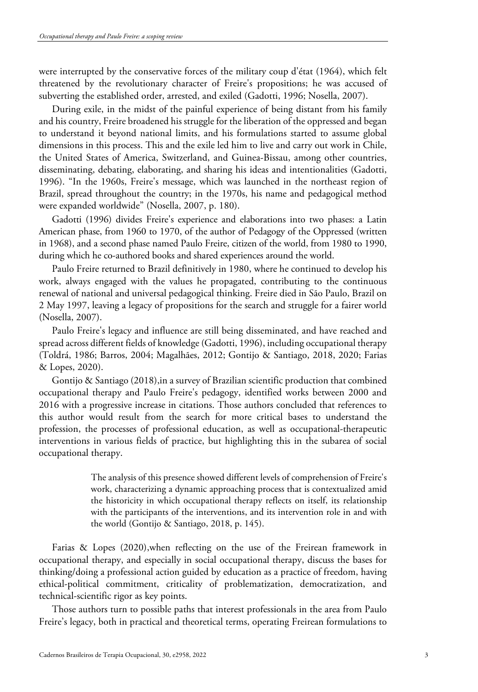were interrupted by the conservative forces of the military coup d'état (1964), which felt threatened by the revolutionary character of Freire's propositions; he was accused of subverting the established order, arrested, and exiled (Gadotti, 1996; Nosella, 2007).

During exile, in the midst of the painful experience of being distant from his family and his country, Freire broadened his struggle for the liberation of the oppressed and began to understand it beyond national limits, and his formulations started to assume global dimensions in this process. This and the exile led him to live and carry out work in Chile, the United States of America, Switzerland, and Guinea-Bissau, among other countries, disseminating, debating, elaborating, and sharing his ideas and intentionalities (Gadotti, 1996). "In the 1960s, Freire's message, which was launched in the northeast region of Brazil, spread throughout the country; in the 1970s, his name and pedagogical method were expanded worldwide" (Nosella, 2007, p. 180).

Gadotti (1996) divides Freire's experience and elaborations into two phases: a Latin American phase, from 1960 to 1970, of the author of Pedagogy of the Oppressed (written in 1968), and a second phase named Paulo Freire, citizen of the world, from 1980 to 1990, during which he co-authored books and shared experiences around the world.

Paulo Freire returned to Brazil definitively in 1980, where he continued to develop his work, always engaged with the values he propagated, contributing to the continuous renewal of national and universal pedagogical thinking. Freire died in São Paulo, Brazil on 2 May 1997, leaving a legacy of propositions for the search and struggle for a fairer world (Nosella, 2007).

Paulo Freire's legacy and influence are still being disseminated, and have reached and spread across different fields of knowledge (Gadotti, 1996), including occupational therapy (Toldrá, 1986; Barros, 2004; Magalhães, 2012; Gontijo & Santiago, 2018, 2020; Farias & Lopes, 2020).

Gontijo & Santiago (2018),in a survey of Brazilian scientific production that combined occupational therapy and Paulo Freire's pedagogy, identified works between 2000 and 2016 with a progressive increase in citations. Those authors concluded that references to this author would result from the search for more critical bases to understand the profession, the processes of professional education, as well as occupational-therapeutic interventions in various fields of practice, but highlighting this in the subarea of social occupational therapy.

> The analysis of this presence showed different levels of comprehension of Freire's work, characterizing a dynamic approaching process that is contextualized amid the historicity in which occupational therapy reflects on itself, its relationship with the participants of the interventions, and its intervention role in and with the world (Gontijo & Santiago, 2018, p. 145).

Farias & Lopes (2020),when reflecting on the use of the Freirean framework in occupational therapy, and especially in social occupational therapy, discuss the bases for thinking/doing a professional action guided by education as a practice of freedom, having ethical-political commitment, criticality of problematization, democratization, and technical-scientific rigor as key points.

Those authors turn to possible paths that interest professionals in the area from Paulo Freire's legacy, both in practical and theoretical terms, operating Freirean formulations to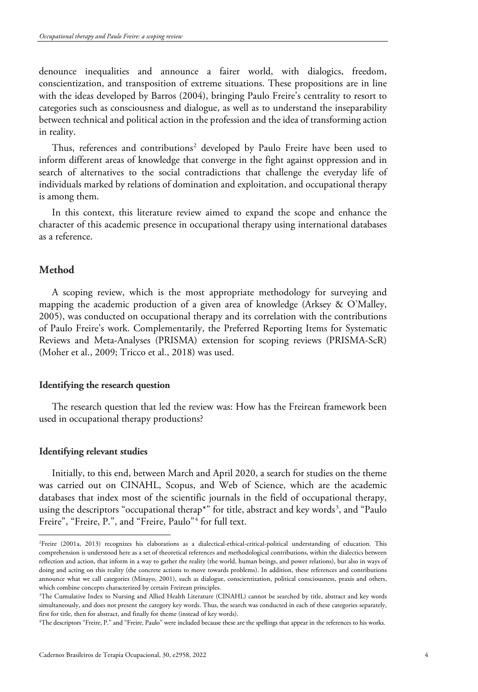denounce inequalities and announce a fairer world, with dialogics, freedom, conscientization, and transposition of extreme situations. These propositions are in line with the ideas developed by Barros (2004), bringing Paulo Freire's centrality to resort to categories such as consciousness and dialogue, as well as to understand the inseparability between technical and political action in the profession and the idea of transforming action in reality.

Thus, references and contributions<sup>[2](#page-3-0)</sup> developed by Paulo Freire have been used to inform different areas of knowledge that converge in the fight against oppression and in search of alternatives to the social contradictions that challenge the everyday life of individuals marked by relations of domination and exploitation, and occupational therapy is among them.

In this context, this literature review aimed to expand the scope and enhance the character of this academic presence in occupational therapy using international databases as a reference.

# **Method**

A scoping review, which is the most appropriate methodology for surveying and mapping the academic production of a given area of knowledge (Arksey & O'Malley, 2005), was conducted on occupational therapy and its correlation with the contributions of Paulo Freire's work. Complementarily, the Preferred Reporting Items for Systematic Reviews and Meta-Analyses (PRISMA) extension for scoping reviews (PRISMA-ScR) (Moher et al., 2009; Tricco et al., 2018) was used.

#### **Identifying the research question**

The research question that led the review was: How has the Freirean framework been used in occupational therapy productions?

#### **Identifying relevant studies**

Initially, to this end, between March and April 2020, a search for studies on the theme was carried out on CINAHL, Scopus, and Web of Science, which are the academic databases that index most of the scientific journals in the field of occupational therapy, using the descriptors "occupational therap\*" for title, abstract and key words<sup>[3](#page-3-1)</sup>, and "Paulo Freire", "Freire, P.", and "Freire, Paulo"<sup>[4](#page-3-2)</sup> for full text.

<span id="page-3-0"></span><sup>2</sup> Freire (2001a, 2013) recognizes his elaborations as a dialectical-ethical-critical-political understanding of education. This comprehension is understood here as a set of theoretical references and methodological contributions, within the dialectics between reflection and action, that inform in a way to gather the reality (the world, human beings, and power relations), but also in ways of doing and acting on this reality (the concrete actions to move towards problems). In addition, these references and contributions announce what we call categories (Minayo, 2001), such as dialogue, conscientization, political consciousness, praxis and others, which combine concepts characterized by certain Freirean principles.

<span id="page-3-1"></span><sup>3</sup> The Cumulative Index to Nursing and Allied Health Literature (CINAHL) cannot be searched by title, abstract and key words simultaneously, and does not present the category key words. Thus, the search was conducted in each of these categories separately, first for title, then for abstract, and finally for theme (instead of key words). 4

<span id="page-3-2"></span>The descriptors "Freire, P." and "Freire, Paulo" were included because these are the spellings that appear in the references to his works.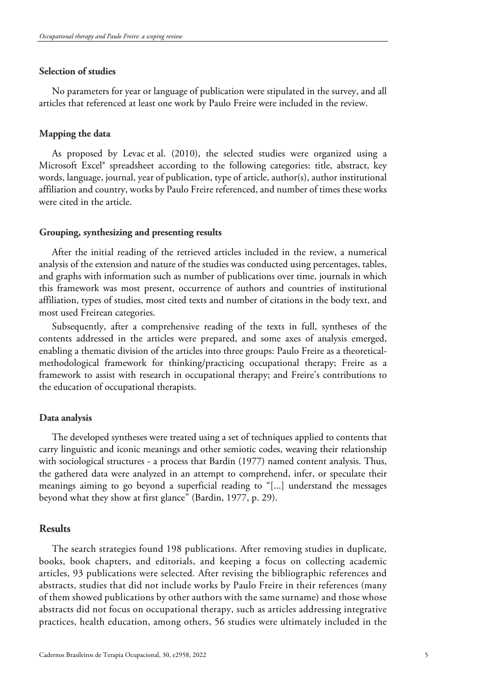## **Selection of studies**

No parameters for year or language of publication were stipulated in the survey, and all articles that referenced at least one work by Paulo Freire were included in the review.

## **Mapping the data**

As proposed by Levac et al. (2010), the selected studies were organized using a Microsoft Excel® spreadsheet according to the following categories: title, abstract, key words, language, journal, year of publication, type of article, author(s), author institutional affiliation and country, works by Paulo Freire referenced, and number of times these works were cited in the article.

#### **Grouping, synthesizing and presenting results**

After the initial reading of the retrieved articles included in the review, a numerical analysis of the extension and nature of the studies was conducted using percentages, tables, and graphs with information such as number of publications over time, journals in which this framework was most present, occurrence of authors and countries of institutional affiliation, types of studies, most cited texts and number of citations in the body text, and most used Freirean categories.

Subsequently, after a comprehensive reading of the texts in full, syntheses of the contents addressed in the articles were prepared, and some axes of analysis emerged, enabling a thematic division of the articles into three groups: Paulo Freire as a theoreticalmethodological framework for thinking/practicing occupational therapy; Freire as a framework to assist with research in occupational therapy; and Freire's contributions to the education of occupational therapists.

#### **Data analysis**

The developed syntheses were treated using a set of techniques applied to contents that carry linguistic and iconic meanings and other semiotic codes, weaving their relationship with sociological structures - a process that Bardin (1977) named content analysis. Thus, the gathered data were analyzed in an attempt to comprehend, infer, or speculate their meanings aiming to go beyond a superficial reading to "[...] understand the messages beyond what they show at first glance" (Bardin, 1977, p. 29).

#### **Results**

The search strategies found 198 publications. After removing studies in duplicate, books, book chapters, and editorials, and keeping a focus on collecting academic articles, 93 publications were selected. After revising the bibliographic references and abstracts, studies that did not include works by Paulo Freire in their references (many of them showed publications by other authors with the same surname) and those whose abstracts did not focus on occupational therapy, such as articles addressing integrative practices, health education, among others, 56 studies were ultimately included in the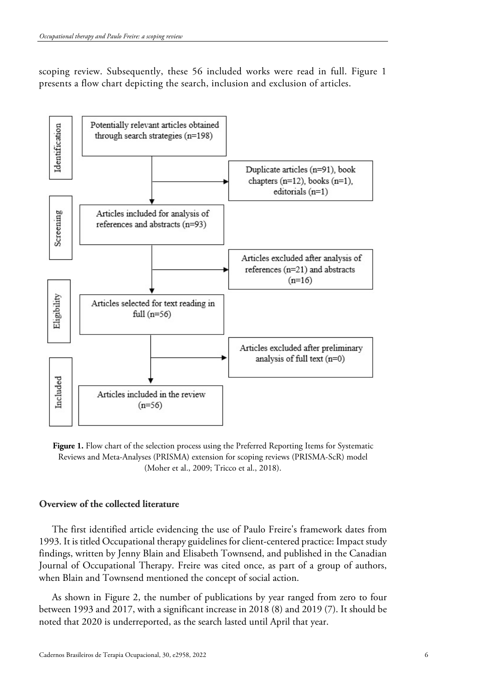scoping review. Subsequently, these 56 included works were read in full. Figure 1 presents a flow chart depicting the search, inclusion and exclusion of articles.



**Figure 1.** Flow chart of the selection process using the Preferred Reporting Items for Systematic Reviews and Meta-Analyses (PRISMA) extension for scoping reviews (PRISMA-ScR) model (Moher et al., 2009; Tricco et al., 2018).

# **Overview of the collected literature**

The first identified article evidencing the use of Paulo Freire's framework dates from 1993. It is titled Occupational therapy guidelines for client-centered practice: Impact study findings, written by Jenny Blain and Elisabeth Townsend, and published in the Canadian Journal of Occupational Therapy. Freire was cited once, as part of a group of authors, when Blain and Townsend mentioned the concept of social action.

As shown in Figure 2, the number of publications by year ranged from zero to four between 1993 and 2017, with a significant increase in 2018 (8) and 2019 (7). It should be noted that 2020 is underreported, as the search lasted until April that year.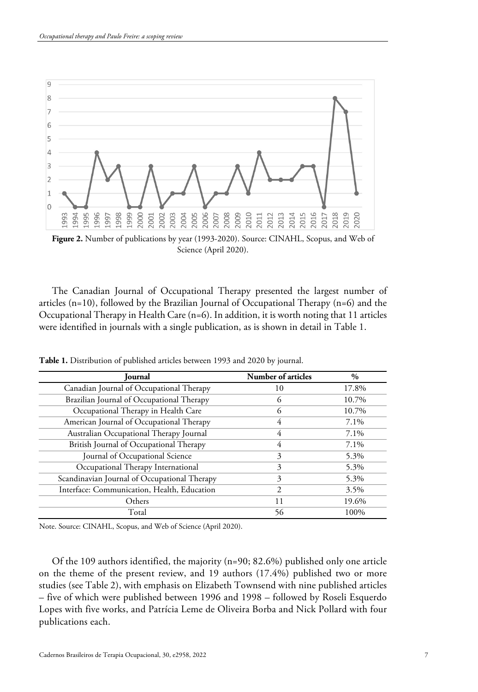

**Figure 2.** Number of publications by year (1993-2020). Source: CINAHL, Scopus, and Web of Science (April 2020).

The Canadian Journal of Occupational Therapy presented the largest number of articles  $(n=10)$ , followed by the Brazilian Journal of Occupational Therapy  $(n=6)$  and the Occupational Therapy in Health Care (n=6). In addition, it is worth noting that 11 articles were identified in journals with a single publication, as is shown in detail in Table 1.

| <b>Journal</b>                               | Number of articles | $\%$  |
|----------------------------------------------|--------------------|-------|
| Canadian Journal of Occupational Therapy     | 10                 | 17.8% |
| Brazilian Journal of Occupational Therapy    | 6                  | 10.7% |
| Occupational Therapy in Health Care          | 6                  | 10.7% |
| American Journal of Occupational Therapy     | 4                  | 7.1%  |
| Australian Occupational Therapy Journal      | 4                  | 7.1%  |
| British Journal of Occupational Therapy      | 4                  | 7.1%  |
| Journal of Occupational Science              | 3                  | 5.3%  |
| Occupational Therapy International           | 3                  | 5.3%  |
| Scandinavian Journal of Occupational Therapy | 3                  | 5.3%  |
| Interface: Communication, Health, Education  | 2                  | 3.5%  |
| Others                                       | 11                 | 19.6% |
| Total                                        | 56                 | 100%  |

**Table 1.** Distribution of published articles between 1993 and 2020 by journal.

Note. Source: CINAHL, Scopus, and Web of Science (April 2020).

Of the 109 authors identified, the majority (n=90; 82.6%) published only one article on the theme of the present review, and 19 authors (17.4%) published two or more studies (see Table 2), with emphasis on Elizabeth Townsend with nine published articles – five of which were published between 1996 and 1998 – followed by Roseli Esquerdo Lopes with five works, and Patrícia Leme de Oliveira Borba and Nick Pollard with four publications each.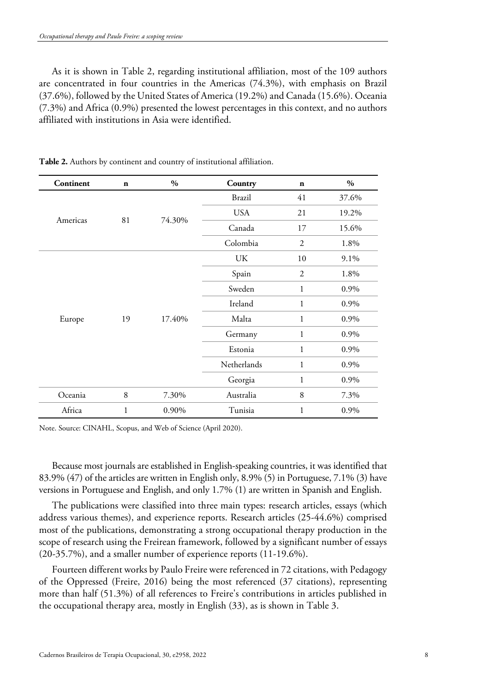As it is shown in Table 2, regarding institutional affiliation, most of the 109 authors are concentrated in four countries in the Americas (74.3%), with emphasis on Brazil (37.6%), followed by the United States of America (19.2%) and Canada (15.6%). Oceania (7.3%) and Africa (0.9%) presented the lowest percentages in this context, and no authors affiliated with institutions in Asia were identified.

| Continent | $\mathbf n$ | $\%$   | Country       | $\mathbf n$    | $\%$  |
|-----------|-------------|--------|---------------|----------------|-------|
| Americas  | 81          | 74.30% | <b>Brazil</b> | 41             | 37.6% |
|           |             |        | <b>USA</b>    | 21             | 19.2% |
|           |             |        | Canada        | 17             | 15.6% |
|           |             |        | Colombia      | $\overline{2}$ | 1.8%  |
| Europe    | 19          | 17.40% | UK            | 10             | 9.1%  |
|           |             |        | Spain         | $\overline{2}$ | 1.8%  |
|           |             |        | Sweden        | $\mathbf{1}$   | 0.9%  |
|           |             |        | Ireland       | $\mathbf{1}$   | 0.9%  |
|           |             |        | Malta         | 1              | 0.9%  |
|           |             |        | Germany       | $\mathbf{1}$   | 0.9%  |
|           |             |        | Estonia       | $\mathbf{1}$   | 0.9%  |
|           |             |        | Netherlands   | $\mathbf{1}$   | 0.9%  |
|           |             |        | Georgia       | $\mathbf{1}$   | 0.9%  |
| Oceania   | 8           | 7.30%  | Australia     | 8              | 7.3%  |
| Africa    | 1           | 0.90%  | Tunisia       | 1              | 0.9%  |

**Table 2.** Authors by continent and country of institutional affiliation.

Note. Source: CINAHL, Scopus, and Web of Science (April 2020).

Because most journals are established in English-speaking countries, it was identified that 83.9% (47) of the articles are written in English only, 8.9% (5) in Portuguese, 7.1% (3) have versions in Portuguese and English, and only 1.7% (1) are written in Spanish and English.

The publications were classified into three main types: research articles, essays (which address various themes), and experience reports. Research articles (25-44.6%) comprised most of the publications, demonstrating a strong occupational therapy production in the scope of research using the Freirean framework, followed by a significant number of essays (20-35.7%), and a smaller number of experience reports (11-19.6%).

Fourteen different works by Paulo Freire were referenced in 72 citations, with Pedagogy of the Oppressed (Freire, 2016) being the most referenced (37 citations), representing more than half (51.3%) of all references to Freire's contributions in articles published in the occupational therapy area, mostly in English (33), as is shown in Table 3.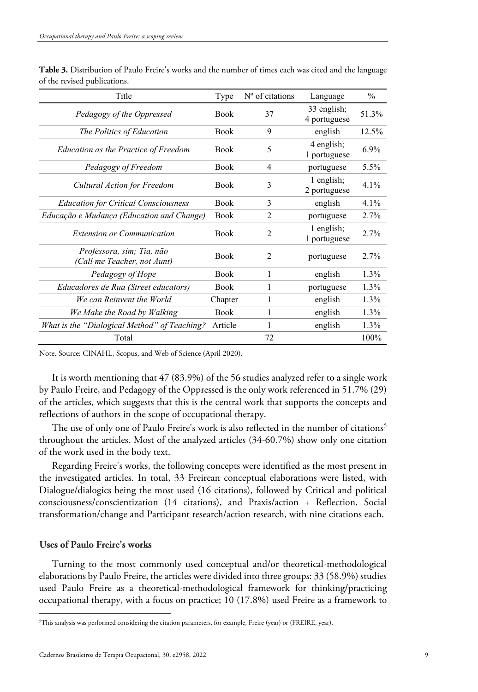| Title                                                    | Type        | $No$ of citations             | Language                    | $\frac{0}{0}$ |
|----------------------------------------------------------|-------------|-------------------------------|-----------------------------|---------------|
| Pedagogy of the Oppressed                                | <b>Book</b> | 37                            | 33 english;<br>4 portuguese | 51.3%         |
| The Politics of Education                                | <b>Book</b> | 9                             | english                     | 12.5%         |
| <b>Education as the Practice of Freedom</b>              | <b>Book</b> | 5                             | 4 english;<br>1 portuguese  | 6.9%          |
| Pedagogy of Freedom                                      | <b>Book</b> | 4                             | portuguese                  | 5.5%          |
| Cultural Action for Freedom                              | <b>Book</b> | 3                             | 1 english;<br>2 portuguese  | 4.1%          |
| <b>Education for Critical Consciousness</b>              | <b>Book</b> | 3                             | english                     | 4.1%          |
| Educação e Mudança (Education and Change)                | <b>Book</b> | 2                             | portuguese                  | 2.7%          |
| <b>Extension or Communication</b>                        | <b>Book</b> | $\mathfrak{D}$                | 1 english;<br>1 portuguese  | 2.7%          |
| Professora, sim; Tia, não<br>(Call me Teacher, not Aunt) | <b>Book</b> | $\mathfrak{D}_{\mathfrak{p}}$ | portuguese                  | $2.7\%$       |
| Pedagogy of Hope                                         | <b>Book</b> | 1                             | english                     | $1.3\%$       |
| Educadores de Rua (Street educators)                     | <b>Book</b> | 1                             | portuguese                  | $1.3\%$       |
| We can Reinvent the World                                | Chapter     | 1                             | english                     | $1.3\%$       |
| We Make the Road by Walking                              | <b>Book</b> | 1                             | english                     | 1.3%          |
| What is the "Dialogical Method" of Teaching?             | Article     | 1                             | english                     | $1.3\%$       |
| Total                                                    |             | 72                            |                             | 100%          |

**Table 3.** Distribution of Paulo Freire's works and the number of times each was cited and the language of the revised publications.

Note. Source: CINAHL, Scopus, and Web of Science (April 2020).

It is worth mentioning that 47 (83.9%) of the 56 studies analyzed refer to a single work by Paulo Freire, and Pedagogy of the Oppressed is the only work referenced in 51.7% (29) of the articles, which suggests that this is the central work that supports the concepts and reflections of authors in the scope of occupational therapy.

The use of only one of Paulo Freire's work is also reflected in the number of citations<sup>[5](#page-8-0)</sup> throughout the articles. Most of the analyzed articles (34-60.7%) show only one citation of the work used in the body text.

Regarding Freire's works, the following concepts were identified as the most present in the investigated articles. In total, 33 Freirean conceptual elaborations were listed, with Dialogue/dialogics being the most used (16 citations), followed by Critical and political consciousness/conscientization (14 citations), and Praxis/action + Reflection, Social transformation/change and Participant research/action research, with nine citations each.

## **Uses of Paulo Freire's works**

Turning to the most commonly used conceptual and/or theoretical-methodological elaborations by Paulo Freire, the articles were divided into three groups: 33 (58.9%) studies used Paulo Freire as a theoretical-methodological framework for thinking/practicing occupational therapy, with a focus on practice; 10 (17.8%) used Freire as a framework to

<span id="page-8-0"></span><sup>5</sup> This analysis was performed considering the citation parameters, for example, Freire (year) or (FREIRE, year).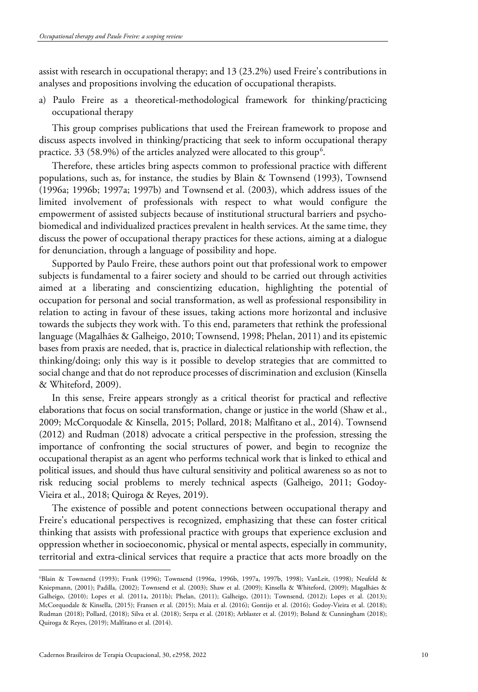assist with research in occupational therapy; and 13 (23.2%) used Freire's contributions in analyses and propositions involving the education of occupational therapists.

a) Paulo Freire as a theoretical-methodological framework for thinking/practicing occupational therapy

This group comprises publications that used the Freirean framework to propose and discuss aspects involved in thinking/practicing that seek to inform occupational therapy practice. 33 (58.9%) of the articles analyzed were allocated to this group $^6$  $^6$ .

Therefore, these articles bring aspects common to professional practice with different populations, such as, for instance, the studies by Blain & Townsend (1993), Townsend (1996a; 1996b; 1997a; 1997b) and Townsend et al. (2003), which address issues of the limited involvement of professionals with respect to what would configure the empowerment of assisted subjects because of institutional structural barriers and psychobiomedical and individualized practices prevalent in health services. At the same time, they discuss the power of occupational therapy practices for these actions, aiming at a dialogue for denunciation, through a language of possibility and hope.

Supported by Paulo Freire, these authors point out that professional work to empower subjects is fundamental to a fairer society and should to be carried out through activities aimed at a liberating and conscientizing education, highlighting the potential of occupation for personal and social transformation, as well as professional responsibility in relation to acting in favour of these issues, taking actions more horizontal and inclusive towards the subjects they work with. To this end, parameters that rethink the professional language (Magalhães & Galheigo, 2010; Townsend, 1998; Phelan, 2011) and its epistemic bases from praxis are needed, that is, practice in dialectical relationship with reflection, the thinking/doing; only this way is it possible to develop strategies that are committed to social change and that do not reproduce processes of discrimination and exclusion (Kinsella & Whiteford, 2009).

In this sense, Freire appears strongly as a critical theorist for practical and reflective elaborations that focus on social transformation, change or justice in the world (Shaw et al., 2009; McCorquodale & Kinsella, 2015; Pollard, 2018; Malfitano et al., 2014). Townsend (2012) and Rudman (2018) advocate a critical perspective in the profession, stressing the importance of confronting the social structures of power, and begin to recognize the occupational therapist as an agent who performs technical work that is linked to ethical and political issues, and should thus have cultural sensitivity and political awareness so as not to risk reducing social problems to merely technical aspects (Galheigo, 2011; Godoy-Vieira et al., 2018; Quiroga & Reyes, 2019).

The existence of possible and potent connections between occupational therapy and Freire's educational perspectives is recognized, emphasizing that these can foster critical thinking that assists with professional practice with groups that experience exclusion and oppression whether in socioeconomic, physical or mental aspects, especially in community, territorial and extra-clinical services that require a practice that acts more broadly on the

<span id="page-9-0"></span><sup>6</sup> Blain & Townsend (1993); Frank (1996); Townsend (1996a, 1996b, 1997a, 1997b, 1998); VanLeit, (1998); Neufeld & Kniepmann, (2001); Padilla, (2002); Townsend et al. (2003); Shaw et al. (2009); Kinsella & Whiteford, (2009); Magalhães & Galheigo, (2010); Lopes et al. (2011a, 2011b); Phelan, (2011); Galheigo, (2011); Townsend, (2012); Lopes et al. (2013); McCorquodale & Kinsella, (2015); Fransen et al. (2015); Maia et al. (2016); Gontijo et al. (2016); Godoy-Vieira et al. (2018); Rudman (2018); Pollard, (2018); Silva et al. (2018); Serpa et al. (2018); Arblaster et al. (2019); Boland & Cunningham (2018); Quiroga & Reyes, (2019); Malfitano et al. (2014).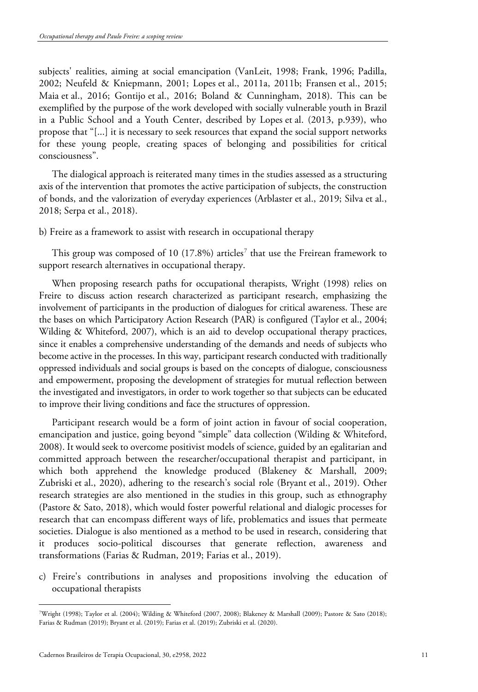subjects' realities, aiming at social emancipation (VanLeit, 1998; Frank, 1996; Padilla, 2002; Neufeld & Kniepmann, 2001; Lopes et al., 2011a, 2011b; Fransen et al., 2015; Maia et al., 2016; Gontijo et al., 2016; Boland & Cunningham, 2018). This can be exemplified by the purpose of the work developed with socially vulnerable youth in Brazil in a Public School and a Youth Center, described by Lopes et al. (2013, p.939), who propose that "[...] it is necessary to seek resources that expand the social support networks for these young people, creating spaces of belonging and possibilities for critical consciousness".

The dialogical approach is reiterated many times in the studies assessed as a structuring axis of the intervention that promotes the active participation of subjects, the construction of bonds, and the valorization of everyday experiences (Arblaster et al., 2019; Silva et al., 2018; Serpa et al., 2018).

b) Freire as a framework to assist with research in occupational therapy

This group was composed of 10 (1[7](#page-10-0).8%) articles<sup>7</sup> that use the Freirean framework to support research alternatives in occupational therapy.

When proposing research paths for occupational therapists, Wright (1998) relies on Freire to discuss action research characterized as participant research, emphasizing the involvement of participants in the production of dialogues for critical awareness. These are the bases on which Participatory Action Research (PAR) is configured (Taylor et al., 2004; Wilding & Whiteford, 2007), which is an aid to develop occupational therapy practices, since it enables a comprehensive understanding of the demands and needs of subjects who become active in the processes. In this way, participant research conducted with traditionally oppressed individuals and social groups is based on the concepts of dialogue, consciousness and empowerment, proposing the development of strategies for mutual reflection between the investigated and investigators, in order to work together so that subjects can be educated to improve their living conditions and face the structures of oppression.

Participant research would be a form of joint action in favour of social cooperation, emancipation and justice, going beyond "simple" data collection (Wilding & Whiteford, 2008). It would seek to overcome positivist models of science, guided by an egalitarian and committed approach between the researcher/occupational therapist and participant, in which both apprehend the knowledge produced (Blakeney & Marshall, 2009; Zubriski et al., 2020), adhering to the research's social role (Bryant et al., 2019). Other research strategies are also mentioned in the studies in this group, such as ethnography (Pastore & Sato, 2018), which would foster powerful relational and dialogic processes for research that can encompass different ways of life, problematics and issues that permeate societies. Dialogue is also mentioned as a method to be used in research, considering that it produces socio-political discourses that generate reflection, awareness and transformations (Farias & Rudman, 2019; Farias et al., 2019).

c) Freire's contributions in analyses and propositions involving the education of occupational therapists

<span id="page-10-0"></span><sup>7</sup> Wright (1998); Taylor et al. (2004); Wilding & Whiteford (2007, 2008); Blakeney & Marshall (2009); Pastore & Sato (2018); Farias & Rudman (2019); Bryant et al. (2019); Farias et al. (2019); Zubriski et al. (2020).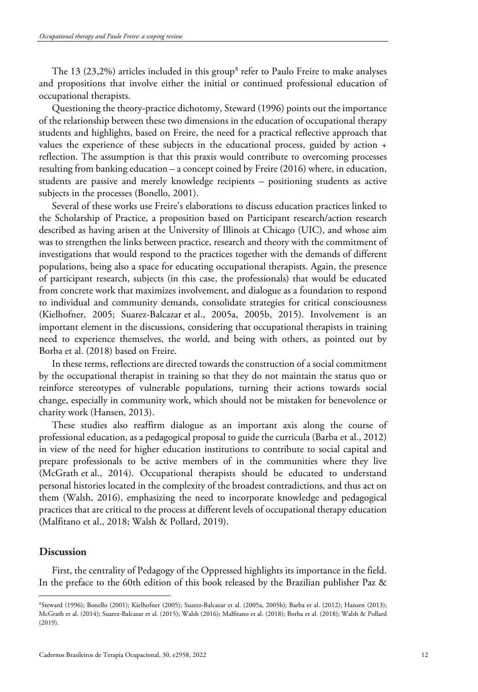The 13 (23,2%) articles included in this group<sup>[8](#page-11-0)</sup> refer to Paulo Freire to make analyses and propositions that involve either the initial or continued professional education of occupational therapists.

Questioning the theory-practice dichotomy, Steward (1996) points out the importance of the relationship between these two dimensions in the education of occupational therapy students and highlights, based on Freire, the need for a practical reflective approach that values the experience of these subjects in the educational process, guided by action + reflection. The assumption is that this praxis would contribute to overcoming processes resulting from banking education – a concept coined by Freire (2016) where, in education, students are passive and merely knowledge recipients – positioning students as active subjects in the processes (Bonello, 2001).

Several of these works use Freire's elaborations to discuss education practices linked to the Scholarship of Practice, a proposition based on Participant research/action research described as having arisen at the University of Illinois at Chicago (UIC), and whose aim was to strengthen the links between practice, research and theory with the commitment of investigations that would respond to the practices together with the demands of different populations, being also a space for educating occupational therapists. Again, the presence of participant research, subjects (in this case, the professionals) that would be educated from concrete work that maximizes involvement, and dialogue as a foundation to respond to individual and community demands, consolidate strategies for critical consciousness (Kielhofner, 2005; Suarez-Balcazar et al., 2005a, 2005b, 2015). Involvement is an important element in the discussions, considering that occupational therapists in training need to experience themselves, the world, and being with others, as pointed out by Borba et al. (2018) based on Freire.

In these terms, reflections are directed towards the construction of a social commitment by the occupational therapist in training so that they do not maintain the status quo or reinforce stereotypes of vulnerable populations, turning their actions towards social change, especially in community work, which should not be mistaken for benevolence or charity work (Hansen, 2013).

These studies also reaffirm dialogue as an important axis along the course of professional education, as a pedagogical proposal to guide the curricula (Barba et al., 2012) in view of the need for higher education institutions to contribute to social capital and prepare professionals to be active members of in the communities where they live (McGrath et al., 2014). Occupational therapists should be educated to understand personal histories located in the complexity of the broadest contradictions, and thus act on them (Walsh, 2016), emphasizing the need to incorporate knowledge and pedagogical practices that are critical to the process at different levels of occupational therapy education (Malfitano et al., 2018; Walsh & Pollard, 2019).

# **Discussion**

First, the centrality of Pedagogy of the Oppressed highlights its importance in the field. In the preface to the 60th edition of this book released by the Brazilian publisher Paz &

<span id="page-11-0"></span><sup>8</sup> Steward (1996); Bonello (2001); Kielhofner (2005); Suarez-Balcazar et al. (2005a, 2005b); Barba et al. (2012); Hansen (2013); McGrath et al. (2014); Suarez-Balcazar et al. (2015); Walsh (2016); Malfitano et al. (2018); Borba et al. (2018); Walsh & Pollard (2019).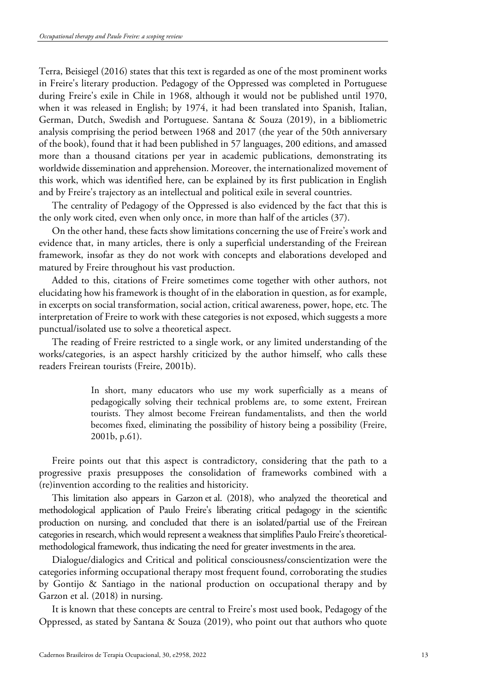Terra, Beisiegel (2016) states that this text is regarded as one of the most prominent works in Freire's literary production. Pedagogy of the Oppressed was completed in Portuguese during Freire's exile in Chile in 1968, although it would not be published until 1970, when it was released in English; by 1974, it had been translated into Spanish, Italian, German, Dutch, Swedish and Portuguese. Santana & Souza (2019), in a bibliometric analysis comprising the period between 1968 and 2017 (the year of the 50th anniversary of the book), found that it had been published in 57 languages, 200 editions, and amassed more than a thousand citations per year in academic publications, demonstrating its worldwide dissemination and apprehension. Moreover, the internationalized movement of this work, which was identified here, can be explained by its first publication in English and by Freire's trajectory as an intellectual and political exile in several countries.

The centrality of Pedagogy of the Oppressed is also evidenced by the fact that this is the only work cited, even when only once, in more than half of the articles (37).

On the other hand, these facts show limitations concerning the use of Freire's work and evidence that, in many articles, there is only a superficial understanding of the Freirean framework, insofar as they do not work with concepts and elaborations developed and matured by Freire throughout his vast production.

Added to this, citations of Freire sometimes come together with other authors, not elucidating how his framework is thought of in the elaboration in question, as for example, in excerpts on social transformation, social action, critical awareness, power, hope, etc. The interpretation of Freire to work with these categories is not exposed, which suggests a more punctual/isolated use to solve a theoretical aspect.

The reading of Freire restricted to a single work, or any limited understanding of the works/categories, is an aspect harshly criticized by the author himself, who calls these readers Freirean tourists (Freire, 2001b).

> In short, many educators who use my work superficially as a means of pedagogically solving their technical problems are, to some extent, Freirean tourists. They almost become Freirean fundamentalists, and then the world becomes fixed, eliminating the possibility of history being a possibility (Freire, 2001b, p.61).

Freire points out that this aspect is contradictory, considering that the path to a progressive praxis presupposes the consolidation of frameworks combined with a (re)invention according to the realities and historicity.

This limitation also appears in Garzon et al. (2018), who analyzed the theoretical and methodological application of Paulo Freire's liberating critical pedagogy in the scientific production on nursing, and concluded that there is an isolated/partial use of the Freirean categories in research, which would represent a weakness that simplifies Paulo Freire's theoreticalmethodological framework, thus indicating the need for greater investments in the area.

Dialogue/dialogics and Critical and political consciousness/conscientization were the categories informing occupational therapy most frequent found, corroborating the studies by Gontijo & Santiago in the national production on occupational therapy and by Garzon et al. (2018) in nursing.

It is known that these concepts are central to Freire's most used book, Pedagogy of the Oppressed, as stated by Santana & Souza (2019), who point out that authors who quote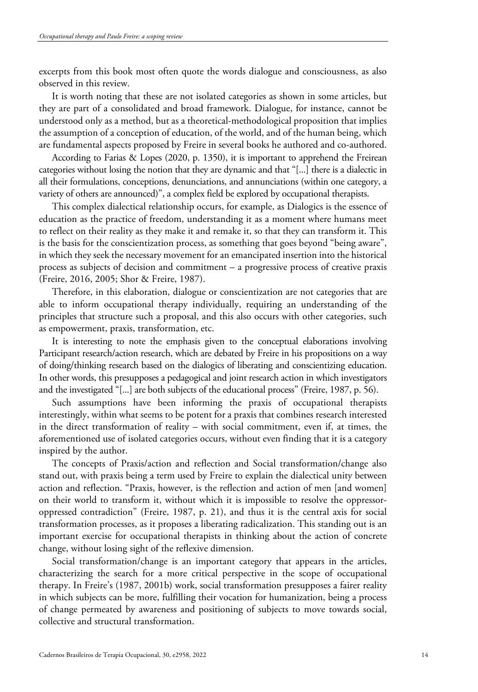excerpts from this book most often quote the words dialogue and consciousness, as also observed in this review.

It is worth noting that these are not isolated categories as shown in some articles, but they are part of a consolidated and broad framework. Dialogue, for instance, cannot be understood only as a method, but as a theoretical-methodological proposition that implies the assumption of a conception of education, of the world, and of the human being, which are fundamental aspects proposed by Freire in several books he authored and co-authored.

According to Farias & Lopes (2020, p. 1350), it is important to apprehend the Freirean categories without losing the notion that they are dynamic and that "[...] there is a dialectic in all their formulations, conceptions, denunciations, and annunciations (within one category, a variety of others are announced)", a complex field be explored by occupational therapists.

This complex dialectical relationship occurs, for example, as Dialogics is the essence of education as the practice of freedom, understanding it as a moment where humans meet to reflect on their reality as they make it and remake it, so that they can transform it. This is the basis for the conscientization process, as something that goes beyond "being aware", in which they seek the necessary movement for an emancipated insertion into the historical process as subjects of decision and commitment – a progressive process of creative praxis (Freire, 2016, 2005; Shor & Freire, 1987).

Therefore, in this elaboration, dialogue or conscientization are not categories that are able to inform occupational therapy individually, requiring an understanding of the principles that structure such a proposal, and this also occurs with other categories, such as empowerment, praxis, transformation, etc.

It is interesting to note the emphasis given to the conceptual elaborations involving Participant research/action research, which are debated by Freire in his propositions on a way of doing/thinking research based on the dialogics of liberating and conscientizing education. In other words, this presupposes a pedagogical and joint research action in which investigators and the investigated "[...] are both subjects of the educational process" (Freire, 1987, p. 56).

Such assumptions have been informing the praxis of occupational therapists interestingly, within what seems to be potent for a praxis that combines research interested in the direct transformation of reality – with social commitment, even if, at times, the aforementioned use of isolated categories occurs, without even finding that it is a category inspired by the author.

The concepts of Praxis/action and reflection and Social transformation/change also stand out, with praxis being a term used by Freire to explain the dialectical unity between action and reflection. "Praxis, however, is the reflection and action of men [and women] on their world to transform it, without which it is impossible to resolve the oppressoroppressed contradiction" (Freire, 1987, p. 21), and thus it is the central axis for social transformation processes, as it proposes a liberating radicalization. This standing out is an important exercise for occupational therapists in thinking about the action of concrete change, without losing sight of the reflexive dimension.

Social transformation/change is an important category that appears in the articles, characterizing the search for a more critical perspective in the scope of occupational therapy. In Freire's (1987, 2001b) work, social transformation presupposes a fairer reality in which subjects can be more, fulfilling their vocation for humanization, being a process of change permeated by awareness and positioning of subjects to move towards social, collective and structural transformation.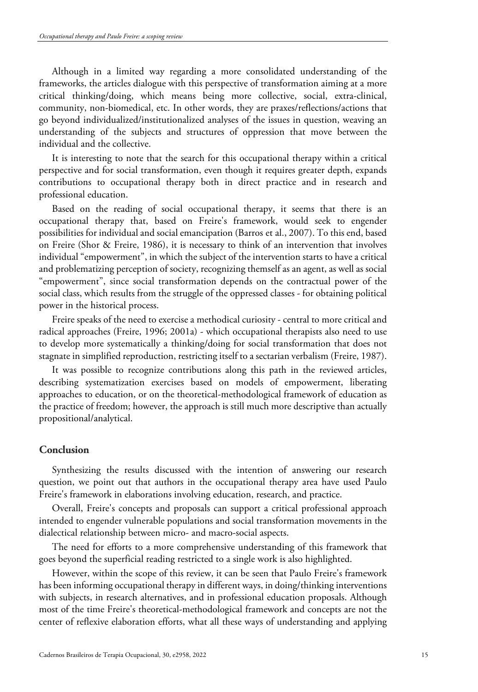Although in a limited way regarding a more consolidated understanding of the frameworks, the articles dialogue with this perspective of transformation aiming at a more critical thinking/doing, which means being more collective, social, extra-clinical, community, non-biomedical, etc. In other words, they are praxes/reflections/actions that go beyond individualized/institutionalized analyses of the issues in question, weaving an understanding of the subjects and structures of oppression that move between the individual and the collective.

It is interesting to note that the search for this occupational therapy within a critical perspective and for social transformation, even though it requires greater depth, expands contributions to occupational therapy both in direct practice and in research and professional education.

Based on the reading of social occupational therapy, it seems that there is an occupational therapy that, based on Freire's framework, would seek to engender possibilities for individual and social emancipation (Barros et al., 2007). To this end, based on Freire (Shor & Freire, 1986), it is necessary to think of an intervention that involves individual "empowerment", in which the subject of the intervention starts to have a critical and problematizing perception of society, recognizing themself as an agent, as well as social "empowerment", since social transformation depends on the contractual power of the social class, which results from the struggle of the oppressed classes - for obtaining political power in the historical process.

Freire speaks of the need to exercise a methodical curiosity - central to more critical and radical approaches (Freire, 1996; 2001a) - which occupational therapists also need to use to develop more systematically a thinking/doing for social transformation that does not stagnate in simplified reproduction, restricting itself to a sectarian verbalism (Freire, 1987).

It was possible to recognize contributions along this path in the reviewed articles, describing systematization exercises based on models of empowerment, liberating approaches to education, or on the theoretical-methodological framework of education as the practice of freedom; however, the approach is still much more descriptive than actually propositional/analytical.

## **Conclusion**

Synthesizing the results discussed with the intention of answering our research question, we point out that authors in the occupational therapy area have used Paulo Freire's framework in elaborations involving education, research, and practice.

Overall, Freire's concepts and proposals can support a critical professional approach intended to engender vulnerable populations and social transformation movements in the dialectical relationship between micro- and macro-social aspects.

The need for efforts to a more comprehensive understanding of this framework that goes beyond the superficial reading restricted to a single work is also highlighted.

However, within the scope of this review, it can be seen that Paulo Freire's framework has been informing occupational therapy in different ways, in doing/thinking interventions with subjects, in research alternatives, and in professional education proposals. Although most of the time Freire's theoretical-methodological framework and concepts are not the center of reflexive elaboration efforts, what all these ways of understanding and applying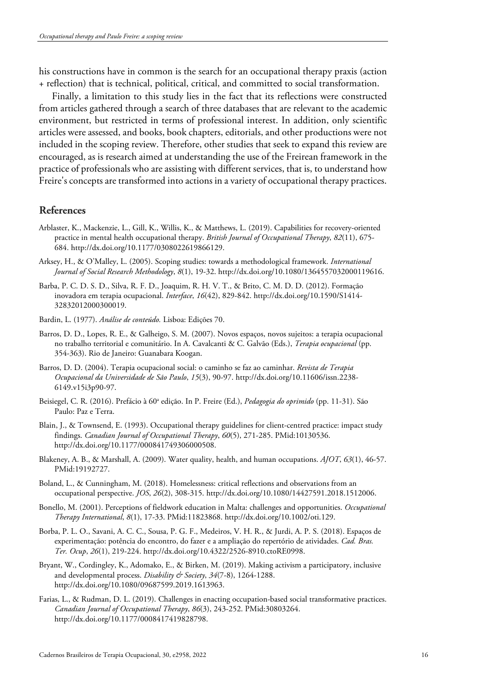his constructions have in common is the search for an occupational therapy praxis (action + reflection) that is technical, political, critical, and committed to social transformation.

Finally, a limitation to this study lies in the fact that its reflections were constructed from articles gathered through a search of three databases that are relevant to the academic environment, but restricted in terms of professional interest. In addition, only scientific articles were assessed, and books, book chapters, editorials, and other productions were not included in the scoping review. Therefore, other studies that seek to expand this review are encouraged, as is research aimed at understanding the use of the Freirean framework in the practice of professionals who are assisting with different services, that is, to understand how Freire's concepts are transformed into actions in a variety of occupational therapy practices.

# **References**

- Arblaster, K., Mackenzie, L., Gill, K., Willis, K., & Matthews, L. (2019). Capabilities for recovery-oriented practice in mental health occupational therapy. *British Journal of Occupational Therapy*, *82*(11), 675- 684. http://dx.doi.org/10.1177/0308022619866129.
- Arksey, H., & O'Malley, L. (2005). Scoping studies: towards a methodological framework. *International Journal of Social Research Methodology*, *8*(1), 19-32[. http://dx.doi.org/10.1080/1364557032000119616.](https://doi.org/10.1080/1364557032000119616)
- Barba, P. C. D. S. D., Silva, R. F. D., Joaquim, R. H. V. T., & Brito, C. M. D. D. (2012). Formação inovadora em terapia ocupacional. *Interface*, *16*(42), 829-842. [http://dx.doi.org/10.1590/S1414-](https://doi.org/10.1590/S1414-32832012000300019) [32832012000300019.](https://doi.org/10.1590/S1414-32832012000300019)
- Bardin, L. (1977). *Análise de conteúdo.* Lisboa: Edições 70.
- Barros, D. D., Lopes, R. E., & Galheigo, S. M. (2007). Novos espaços, novos sujeitos: a terapia ocupacional no trabalho territorial e comunitário. In A. Cavalcanti & C. Galvão (Eds.), *Terapia ocupacional* (pp. 354-363). Rio de Janeiro: Guanabara Koogan.
- Barros, D. D. (2004). Terapia ocupacional social: o caminho se faz ao caminhar. *Revista de Terapia Ocupacional da Universidade de São Paulo*, *15*(3), 90-97[. http://dx.doi.org/10.11606/issn.2238-](https://doi.org/10.11606/issn.2238-6149.v15i3p90-97) [6149.v15i3p90-97.](https://doi.org/10.11606/issn.2238-6149.v15i3p90-97)
- Beisiegel, C. R. (2016). Prefácio à 60<sup>a</sup> edição. In P. Freire (Ed.), *Pedagogia do oprimido* (pp. 11-31). São Paulo: Paz e Terra.
- Blain, J., & Townsend, E. (1993). Occupational therapy guidelines for client-centred practice: impact study findings. *Canadian Journal of Occupational Therapy*, *60*(5), 271-285. [PMid:10130536.](https://www.ncbi.nlm.nih.gov/entrez/query.fcgi?cmd=Retrieve&db=PubMed&list_uids=10130536&dopt=Abstract) [http://dx.doi.org/10.1177/000841749306000508.](https://doi.org/10.1177/000841749306000508)
- Blakeney, A. B., & Marshall, A. (2009). Water quality, health, and human occupations. *AJOT*, *63*(1), 46-57[.](https://www.ncbi.nlm.nih.gov/entrez/query.fcgi?cmd=Retrieve&db=PubMed&list_uids=19192727&dopt=Abstract) [PMid:19192727.](https://www.ncbi.nlm.nih.gov/entrez/query.fcgi?cmd=Retrieve&db=PubMed&list_uids=19192727&dopt=Abstract)
- Boland, L., & Cunningham, M. (2018). Homelessness: critical reflections and observations from an occupational perspective. *JOS*, *26*(2), 308-315. http://dx.doi.org/10.1080/14427591.2018.1512006.
- Bonello, M. (2001). Perceptions of fieldwork education in Malta: challenges and opportunities. *Occupational Therapy International*, *8*(1), 17-33. [PMid:11823868.](https://www.ncbi.nlm.nih.gov/entrez/query.fcgi?cmd=Retrieve&db=PubMed&list_uids=11823868&dopt=Abstract) [http://dx.doi.org/10.1002/oti.129.](https://doi.org/10.1002/oti.129)
- Borba, P. L. O., Savani, A. C. C., Sousa, P. G. F., Medeiros, V. H. R., & Jurdi, A. P. S. (2018). Espaços de experimentação: potência do encontro, do fazer e a ampliação do repertório de atividades. *Cad. Bras. Ter. Ocup*, *26*(1), 219-224[. http://dx.doi.org/10.4322/2526-8910.ctoRE0998.](https://doi.org/10.4322/2526-8910.ctoRE0998)
- Bryant, W., Cordingley, K., Adomako, E., & Birken, M. (2019). Making activism a participatory, inclusive and developmental process. *Disability & Society*, *34*(7-8), 1264-1288. [http://dx.doi.org/10.1080/09687599.2019.1613963.](https://doi.org/10.1080/09687599.2019.1613963)
- <span id="page-15-0"></span>Farias, L., & Rudman, D. L. (2019). Challenges in enacting occupation-based social transformative practices. *Canadian Journal of Occupational Therapy*, *86*(3), 243-252. [PMid:30803264.](https://www.ncbi.nlm.nih.gov/entrez/query.fcgi?cmd=Retrieve&db=PubMed&list_uids=30803264&dopt=Abstract) [http://dx.doi.org/10.1177/0008417419828798.](https://doi.org/10.1177/0008417419828798)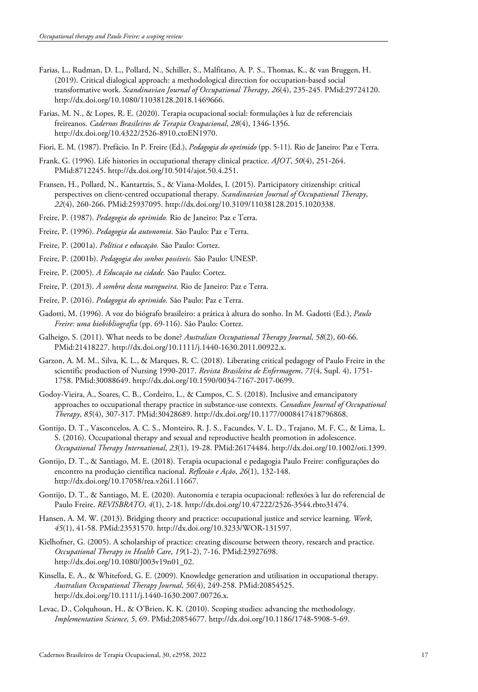- Farias, L., Rudman, D. L., Pollard, N., Schiller, S., Malfitano, A. P. S., Thomas, K., & van Bruggen, H. (2019). Critical dialogical approach: a methodological direction for occupation-based social transformative work. *Scandinavian Journal of Occupational Therapy*, *26*(4), 235-245. [PMid:29724120.](https://www.ncbi.nlm.nih.gov/entrez/query.fcgi?cmd=Retrieve&db=PubMed&list_uids=29724120&dopt=Abstract) [http://dx.doi.org/10.1080/11038128.2018.1469666.](https://doi.org/10.1080/11038128.2018.1469666)
- Farias, M. N., & Lopes, R. E. (2020). Terapia ocupacional social: formulações à luz de referenciais freireanos. *Cadernos Brasileiros de Terapia Ocupacional*, *28*(4), 1346-1356. [http://dx.doi.org/10.4322/2526-8910.ctoEN1970.](https://doi.org/10.4322/2526-8910.ctoEN1970)
- Fiori, E. M. (1987). Prefácio. In P. Freire (Ed.), *Pedagogia do oprimido* (pp. 5-11). Rio de Janeiro: Paz e Terra.
- Frank, G. (1996). Life histories in occupational therapy clinical practice. *AJOT*, *50*(4), 251-26[4.](https://www.ncbi.nlm.nih.gov/entrez/query.fcgi?cmd=Retrieve&db=PubMed&list_uids=8712245&dopt=Abstract) [PMid:8712245.](https://www.ncbi.nlm.nih.gov/entrez/query.fcgi?cmd=Retrieve&db=PubMed&list_uids=8712245&dopt=Abstract) [http://dx.doi.org/10.5014/ajot.50.4.251.](https://doi.org/10.5014/ajot.50.4.251)
- Fransen, H., Pollard, N., Kantartzis, S., & Viana-Moldes, I. (2015). Participatory citizenship: critical perspectives on client-centred occupational therapy. *Scandinavian Journal of Occupational Therapy*, *22*(4), 260-266. [PMid:25937095.](https://www.ncbi.nlm.nih.gov/entrez/query.fcgi?cmd=Retrieve&db=PubMed&list_uids=25937095&dopt=Abstract) [http://dx.doi.org/10.3109/11038128.2015.1020338.](https://doi.org/10.3109/11038128.2015.1020338)
- Freire, P. (1987). *Pedagogia do oprimido.* Rio de Janeiro: Paz e Terra.
- Freire, P. (1996). *Pedagogia da autonomia.* São Paulo: Paz e Terra.
- Freire, P. (2001a). *Política e educação.* São Paulo: Cortez.
- Freire, P. (2001b). *Pedagogia dos sonhos possíveis.* São Paulo: UNESP.
- Freire, P. (2005). *A Educação na cidade.* São Paulo: Cortez.
- Freire, P. (2013). *À sombra desta mangueira.* Rio de Janeiro: Paz e Terra.
- Freire, P. (2016). *Pedagogia do oprimido.* São Paulo: Paz e Terra.
- Gadotti, M. (1996). A voz do biógrafo brasileiro: a prática à altura do sonho. In M. Gadotti (Ed.), *Paulo Freire: uma biobibliografia* (pp. 69-116). São Paulo: Cortez.
- Galheigo, S. (2011). What needs to be done? *Australian Occupational Therapy Journal*, *58*(2), 60-6[6.](https://www.ncbi.nlm.nih.gov/entrez/query.fcgi?cmd=Retrieve&db=PubMed&list_uids=21418227&dopt=Abstract) [PMid:21418227.](https://www.ncbi.nlm.nih.gov/entrez/query.fcgi?cmd=Retrieve&db=PubMed&list_uids=21418227&dopt=Abstract) [http://dx.doi.org/10.1111/j.1440-1630.2011.00922.x.](https://doi.org/10.1111/j.1440-1630.2011.00922.x)
- Garzon, A. M. M., Silva, K. L., & Marques, R. C. (2018). Liberating critical pedagogy of Paulo Freire in the scientific production of Nursing 1990-2017. *Revista Brasileira de Enfermagem*, *71*(4, Supl. 4), 1751- 1758. [PMid:30088649.](https://www.ncbi.nlm.nih.gov/entrez/query.fcgi?cmd=Retrieve&db=PubMed&list_uids=30088649&dopt=Abstract) [http://dx.doi.org/10.1590/0034-7167-2017-0699.](https://doi.org/10.1590/0034-7167-2017-0699)
- Godoy-Vieira, A., Soares, C. B., Cordeiro, L., & Campos, C. S. (2018). Inclusive and emancipatory approaches to occupational therapy practice in substance-use contexts. *Canadian Journal of Occupational Therapy*, *85*(4), 307-317. [PMid:30428689.](https://www.ncbi.nlm.nih.gov/entrez/query.fcgi?cmd=Retrieve&db=PubMed&list_uids=30428689&dopt=Abstract) [http://dx.doi.org/10.1177/0008417418796868.](https://doi.org/10.1177/0008417418796868)
- Gontijo, D. T., Vasconcelos, A. C. S., Monteiro, R. J. S., Facundes, V. L. D., Trajano, M. F. C., & Lima, L. S. (2016). Occupational therapy and sexual and reproductive health promotion in adolescence. *Occupational Therapy International*, *23*(1), 19-28. [PMid:26174484.](https://www.ncbi.nlm.nih.gov/entrez/query.fcgi?cmd=Retrieve&db=PubMed&list_uids=26174484&dopt=Abstract) [http://dx.doi.org/10.1002/oti.1399.](https://doi.org/10.1002/oti.1399)
- Gontijo, D. T., & Santiago, M. E. (2018). Terapia ocupacional e pedagogia Paulo Freire: configurações do encontro na produção científica nacional. *Reflexão e Ação*, *26*(1), 132-148. [http://dx.doi.org/10.17058/rea.v26i1.11667.](https://doi.org/10.17058/rea.v26i1.11667)
- Gontijo, D. T., & Santiago, M. E. (2020). Autonomia e terapia ocupacional: reflexões à luz do referencial de Paulo Freire. *REVISBRATO*, *4*(1), 2-18. http://dx.doi.org/10.47222/2526-3544.rbto31474.
- Hansen, A. M. W. (2013). Bridging theory and practice: occupational justice and service learning. *Work*, *45*(1), 41-58. [PMid:23531570.](https://www.ncbi.nlm.nih.gov/entrez/query.fcgi?cmd=Retrieve&db=PubMed&list_uids=23531570&dopt=Abstract) [http://dx.doi.org/10.3233/WOR-131597.](https://doi.org/10.3233/WOR-131597)
- Kielhofner, G. (2005). A scholarship of practice: creating discourse between theory, research and practice. *Occupational Therapy in Health Care*, *19*(1-2), 7-16. [PMid:23927698.](https://www.ncbi.nlm.nih.gov/entrez/query.fcgi?cmd=Retrieve&db=PubMed&list_uids=23927698&dopt=Abstract) http://dx.doi.org/10.1080/J003v19n01\_02.
- Kinsella, E. A., & Whiteford, G. E. (2009). Knowledge generation and utilisation in occupational therapy. *Australian Occupational Therapy Journal*, *56*(4), 249-258. [PMid:20854525.](https://www.ncbi.nlm.nih.gov/entrez/query.fcgi?cmd=Retrieve&db=PubMed&list_uids=20854525&dopt=Abstract) [http://dx.doi.org/10.1111/j.1440-1630.2007.00726.x.](https://doi.org/10.1111/j.1440-1630.2007.00726.x)
- Levac, D., Colquhoun, H., & O'Brien, K. K. (2010). Scoping studies: advancing the methodology. *Implementation Science*, *5*, 69. [PMid:20854677.](https://www.ncbi.nlm.nih.gov/entrez/query.fcgi?cmd=Retrieve&db=PubMed&list_uids=20854677&dopt=Abstract) http://dx.doi.org/10.1186/1748-5908-5-69.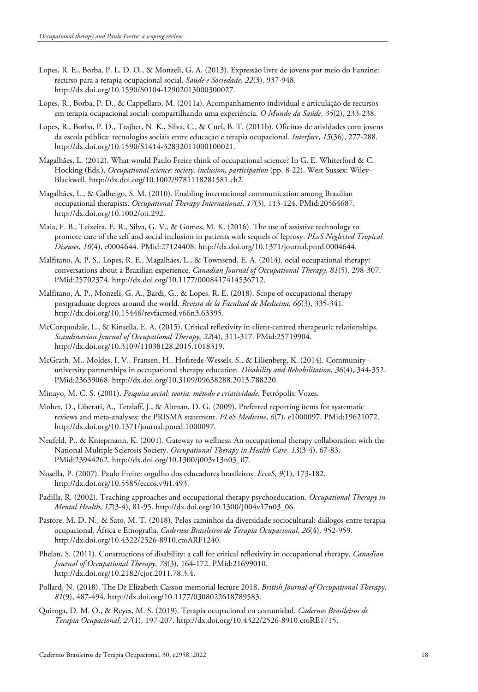- Lopes, R. E., Borba, P. L. D. O., & Monzeli, G. A. (2013). Expressão livre de jovens por meio do Fanzine: recurso para a terapia ocupacional social. *Saúde e Sociedade*, *22*(3), 937-948. [http://dx.doi.org/10.1590/S0104-12902013000300027.](https://doi.org/10.1590/S0104-12902013000300027)
- Lopes, R., Borba, P. D., & Cappellaro, M. (2011a). Acompanhamento individual e articulação de recursos em terapia ocupacional social: compartilhando uma experiência. *O Mundo da Saúde*, *35*(2), 233-238.
- Lopes, R., Borba, P. D., Trajber, N. K., Silva, C., & Cuel, B. T. (2011b). Oficinas de atividades com jovens da escola pública: tecnologias sociais entre educação e terapia ocupacional. *Interface*, *15*(36), 277-288. [http://dx.doi.org/10.1590/S1414-32832011000100021.](https://doi.org/10.1590/S1414-32832011000100021)
- Magalhães, L. (2012). What would Paulo Freire think of occupational science? In G. E. Whiterford & C. Hocking (Eds.), *Occupational science: society, inclusion, participation* (pp. 8-22). West Sussex: Wiley-Blackwell. [http://dx.doi.org/10.1002/9781118281581.ch2.](https://doi.org/10.1002/9781118281581.ch2)
- Magalhães, L., & Galheigo, S. M. (2010). Enabling international communication among Brazilian occupational therapists. *Occupational Therapy International*, *17*(3), 113-124. [PMid:20564687.](https://www.ncbi.nlm.nih.gov/entrez/query.fcgi?cmd=Retrieve&db=PubMed&list_uids=20564687&dopt=Abstract) [http://dx.doi.org/10.1002/oti.292.](https://doi.org/10.1002/oti.292)
- Maia, F. B., Teixeira, E. R., Silva, G. V., & Gomes, M. K. (2016). The use of assistive technology to promote care of the self and social inclusion in patients with sequels of leprosy. *PLoS Neglected Tropical Diseases*, *10*(4), e0004644. [PMid:27124408.](https://www.ncbi.nlm.nih.gov/entrez/query.fcgi?cmd=Retrieve&db=PubMed&list_uids=27124408&dopt=Abstract) [http://dx.doi.org/10.1371/journal.pntd.0004644.](https://doi.org/10.1371/journal.pntd.0004644)
- Malfitano, A. P. S., Lopes, R. E., Magalhães, L., & Townsend, E. A. (2014). ocial occupational therapy: conversations about a Brazilian experience. *Canadian Journal of Occupational Therapy*, *81*(5), 298-307[.](https://www.ncbi.nlm.nih.gov/entrez/query.fcgi?cmd=Retrieve&db=PubMed&list_uids=25702374&dopt=Abstract) [PMid:25702374.](https://www.ncbi.nlm.nih.gov/entrez/query.fcgi?cmd=Retrieve&db=PubMed&list_uids=25702374&dopt=Abstract) [http://dx.doi.org/10.1177/0008417414536712.](https://doi.org/10.1177/0008417414536712)
- Malfitano, A. P., Monzeli, G. A., Bardi, G., & Lopes, R. E. (2018). Scope of occupational therapy postgraduate degrees around the world. *Revista de la Facultad de Medicina*, *66*(3), 335-341. [http://dx.doi.org/10.15446/revfacmed.v66n3.63395.](https://doi.org/10.15446/revfacmed.v66n3.63395)
- McCorquodale, L., & Kinsella, E. A. (2015). Critical reflexivity in client-centred therapeutic relationships. *Scandinavian Journal of Occupational Therapy*, *22*(4), 311-317. [PMid:25719904.](https://www.ncbi.nlm.nih.gov/entrez/query.fcgi?cmd=Retrieve&db=PubMed&list_uids=25719904&dopt=Abstract) [http://dx.doi.org/10.3109/11038128.2015.1018319.](https://doi.org/10.3109/11038128.2015.1018319)
- McGrath, M., Moldes, I. V., Fransen, H., Hofstede-Wessels, S., & Lilienberg, K. (2014). Community– university partnerships in occupational therapy education. *Disability and Rehabilitation*, *36*(4), 344-35[2.](https://www.ncbi.nlm.nih.gov/entrez/query.fcgi?cmd=Retrieve&db=PubMed&list_uids=23639068&dopt=Abstract) [PMid:23639068.](https://www.ncbi.nlm.nih.gov/entrez/query.fcgi?cmd=Retrieve&db=PubMed&list_uids=23639068&dopt=Abstract) [http://dx.doi.org/10.3109/09638288.2013.788220.](https://doi.org/10.3109/09638288.2013.788220)
- Minayo, M. C. S. (2001). *Pesquisa social: teoria, método e criatividade.* Petrópolis: Vozes.
- Moher, D., Liberati, A., Tetzlaff, J., & Altman, D. G. (2009). Preferred reporting items for systematic reviews and meta-analyses: the PRISMA statement. *PLoS Medicine*, *6*(7), e1000097. [PMid:19621072.](https://www.ncbi.nlm.nih.gov/entrez/query.fcgi?cmd=Retrieve&db=PubMed&list_uids=19621072&dopt=Abstract) [http://dx.doi.org/10.1371/journal.pmed.1000097.](https://doi.org/10.1371/journal.pmed.1000097)
- Neufeld, P., & Kniepmann, K. (2001). Gateway to wellness: An occupational therapy collabo[ration with the](https://www.ncbi.nlm.nih.gov/entrez/query.fcgi?cmd=Retrieve&db=PubMed&list_uids=23944262&dopt=Abstract)  National Multiple Sclerosis Society. *Occupational Therapy in Health Care*, *13*(3-4), 67-83. [PMid:23944262.](https://www.ncbi.nlm.nih.gov/entrez/query.fcgi?cmd=Retrieve&db=PubMed&list_uids=23944262&dopt=Abstract) http://dx.doi.org/10.1300/j003v13n03\_07.
- Nosella, P. (2007). Paulo Freire: orgulho dos educadores brasileiros. *EccoS*, *9*(1), 173-182. [http://dx.doi.org/10.5585/eccos.v9i1.493.](https://doi.org/10.5585/eccos.v9i1.493)
- Padilla, R. (2002). Teaching approaches and occupational therapy psychoeducation. *Occupational Therapy in Mental Health*, *17*(3-4), 81-95. [http://dx.doi.org/10.1300/J004v17n03\\_06.](https://doi.org/10.1300/J004v17n03_06)
- Pastore, M. D. N., & Sato, M. T. (2018). Pelos caminhos da diversidade sociocultural: diálogos entre terapia ocupacional, África e Etnografia. *Cadernos Brasileiros de Terapia Ocupacional*, *26*(4), 952-959. [http://dx.doi.org/10.4322/2526-8910.ctoARF1240.](https://doi.org/10.4322/2526-8910.ctoARF1240)
- Phelan, S. (2011). Constructions of disability: a call for critical reflexivity in occupational therapy. *Canadian Journal of Occupational Therapy*, *78*(3), 164-172. [PMid:21699010.](https://www.ncbi.nlm.nih.gov/entrez/query.fcgi?cmd=Retrieve&db=PubMed&list_uids=21699010&dopt=Abstract) [http://dx.doi.org/10.2182/cjot.2011.78.3.4.](https://doi.org/10.2182/cjot.2011.78.3.4)
- Pollard, N. (2018). The Dr Elizabeth Casson memorial lecture 2018. *British Journal of Occupational Therapy*, *81*(9), 487-494. http://dx.doi.org/10.1177/0308022618789583.
- Quiroga, D. M. O., & Reyes, M. S. (2019). Terapia ocupacional en comunidad. *Cadernos Brasileiros de Terapia Ocupacional*, *27*(1), 197-207. [http://dx.doi.org/10.4322/2526-8910.ctoRE1715.](https://doi.org/10.4322/2526-8910.ctoRE1715)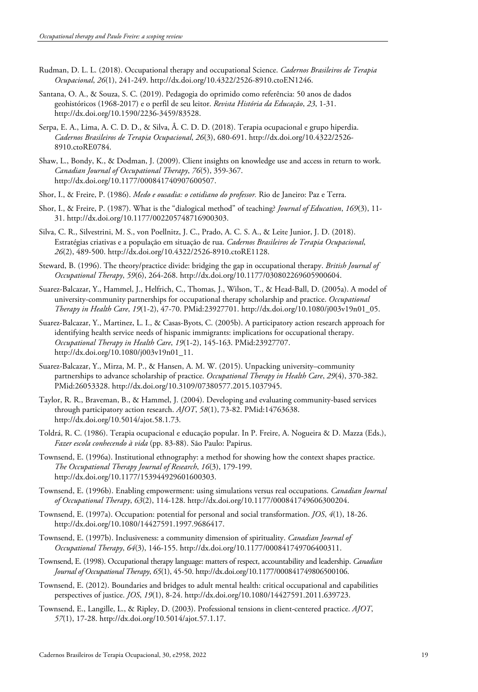- Rudman, D. L. L. (2018). Occupational therapy and occupational Science. *Cadernos Brasileiros de Terapia Ocupacional*, *26*(1), 241-249. [http://dx.doi.org/10.4322/2526-8910.ctoEN1246.](https://doi.org/10.4322/2526-8910.ctoEN1246)
- Santana, O. A., & Souza, S. C. (2019). Pedagogia do oprimido como referência: 50 anos de dados geohistóricos (1968-2017) e o perfil de seu leitor. *Revista História da Educação*, *23*, 1-31. [http://dx.doi.org/10.1590/2236-3459/83528.](https://doi.org/10.1590/2236-3459/83528)
- Serpa, E. A., Lima, A. C. D. D., & Silva, Â. C. D. D. (2018). Terapia ocupacional e grupo hiperdia. *Cadernos Brasileiros de Terapia Ocupacional*, *26*(3), 680-691. [http://dx.doi.org/10.4322/2526-](https://doi.org/10.4322/2526-8910.ctoRE0784) [8910.ctoRE0784.](https://doi.org/10.4322/2526-8910.ctoRE0784)
- Shaw, L., Bondy, K., & Dodman, J. (2009). Client insights on knowledge use and access in return to work. *Canadian Journal of Occupational Therapy*, *76*(5), 359-367. [http://dx.doi.org/10.1177/000841740907600507.](https://doi.org/10.1177/000841740907600507)
- Shor, I., & Freire, P. (1986). *Medo e ousadia: o cotidiano do professor.* Rio de Janeiro: Paz e Terra.
- Shor, I., & Freire, P. (1987). What is the "dialogical method" of teaching? *Journal of Education*, *169*(3), 11- 31. [http://dx.doi.org/10.1177/002205748716900303.](https://doi.org/10.1177/002205748716900303)
- Silva, C. R., Silvestrini, M. S., von Poellnitz, J. C., Prado, A. C. S. A., & Leite Junior, J. D. (2018). Estratégias criativas e a população em situação de rua. *Cadernos Brasileiros de Terapia Ocupacional*, *26*(2), 489-500[. http://dx.doi.org/10.4322/2526-8910.ctoRE1128.](https://doi.org/10.4322/2526-8910.ctoRE1128)
- Steward, B. (1996). The theory/practice divide: bridging the gap in occupational therapy. *British Journal of Occupational Therapy*, *59*(6), 264-268[. http://dx.doi.org/10.1177/030802269605900604.](https://doi.org/10.1177/030802269605900604)
- Suarez-Balcazar, Y., Hammel, J., Helfrich, C., Thomas, J., Wilson, T., & Head-Ball, D. (2005a). A model of university-community partnerships for occupational therapy scholarship and practice. *Occupational Therapy in Health Care*, *19*(1-2), 47-70. [PMid:23927701.](https://www.ncbi.nlm.nih.gov/entrez/query.fcgi?cmd=Retrieve&db=PubMed&list_uids=23927701&dopt=Abstract) http://dx.doi.org/10.1080/j003v19n01\_05.
- Suarez-Balcazar, Y., Martinez, L. I., & Casas-Byots, C. (2005b). A participatory action research approach for identifying health service needs of hispanic immigrants: implications for occupational therapy. *Occupational Therapy in Health Care*, *19*(1-2), 145-163. [PMid:23927707.](https://www.ncbi.nlm.nih.gov/entrez/query.fcgi?cmd=Retrieve&db=PubMed&list_uids=23927707&dopt=Abstract) http://dx.doi.org/10.1080/j003v19n01\_11.
- Suarez-Balcazar, Y., Mirza, M. P., & Hansen, A. M. W. (2015). Unpacking university–community partnerships to advance scholarship of practice. *Occupational Therapy in Health Care*, *29*(4), 370-382[.](https://www.ncbi.nlm.nih.gov/entrez/query.fcgi?cmd=Retrieve&db=PubMed&list_uids=26053328&dopt=Abstract) [PMid:26053328.](https://www.ncbi.nlm.nih.gov/entrez/query.fcgi?cmd=Retrieve&db=PubMed&list_uids=26053328&dopt=Abstract) [http://dx.doi.org/10.3109/07380577.2015.1037945.](https://doi.org/10.3109/07380577.2015.1037945)
- Taylor, R. R., Braveman, B., & Hammel, J. (2004). Developing and evaluating community-based services through participatory action research. *AJOT*, *58*(1), 73-82. [PMid:14763638.](https://www.ncbi.nlm.nih.gov/entrez/query.fcgi?cmd=Retrieve&db=PubMed&list_uids=14763638&dopt=Abstract) http://dx.doi.org/10.5014/ajot.58.1.73.
- Toldrá, R. C. (1986). Terapia ocupacional e educação popular. In P. Freire, A. Nogueira & D. Mazza (Eds.), *Fazer escola conhecendo à vida* (pp. 83-88). São Paulo: Papirus.
- Townsend, E. (1996a). Institutional ethnography: a method for showing how the context shapes practice. *The Occupational Therapy Journal of Research*, *16*(3), 179-199. [http://dx.doi.org/10.1177/153944929601600303.](https://doi.org/10.1177/153944929601600303)
- Townsend, E. (1996b). Enabling empowerment: using simulations versus real occupations. *Canadian Journal of Occupational Therapy*, *63*(2), 114-128. [http://dx.doi.org/10.1177/000841749606300204.](https://doi.org/10.1177/000841749606300204)
- Townsend, E. (1997a). Occupation: potential for personal and social transformation. *JOS*, *4*(1), 18-26. [http://dx.doi.org/10.1080/14427591.1997.9686417.](https://doi.org/10.1080/14427591.1997.9686417)
- Townsend, E. (1997b). Inclusiveness: a community dimension of spirituality. *Canadian Journal of Occupational Therapy*, *64*(3), 146-155[. http://dx.doi.org/10.1177/000841749706400311.](https://doi.org/10.1177/000841749706400311)
- Townsend, E. (1998). Occupational therapy language: matters of respect, accountability and leadership. *Canadian Journal of Occupational Therapy*, *65*(1), 45-50[. http://dx.doi.org/10.1177/000841749806500106.](https://doi.org/10.1177/000841749806500106)
- Townsend, E. (2012). Boundaries and bridges to adult mental health: critical occupational and capabilities perspectives of justice. *JOS*, *19*(1), 8-24. [http://dx.doi.org/10.1080/14427591.2011.639723.](https://doi.org/10.1080/14427591.2011.639723)
- Townsend, E., Langille, L., & Ripley, D. (2003). Professional tensions in client-centered practice. *AJOT*, *57*(1), 17-28. http://dx.doi.org/10.5014/ajot.57.1.17.